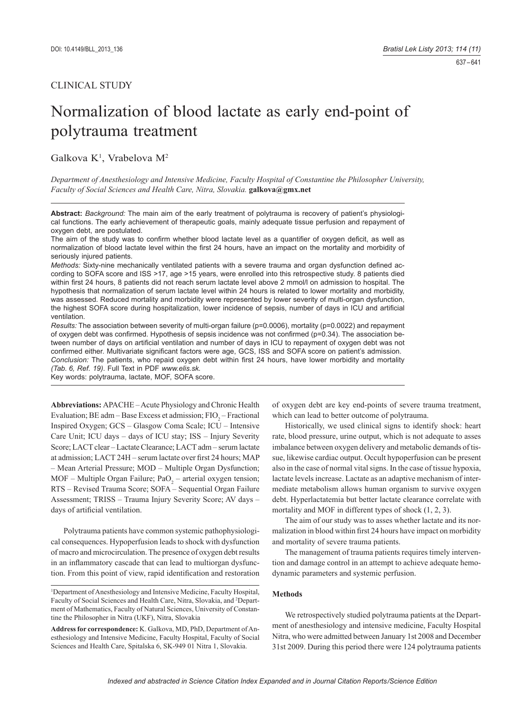# Normalization of blood lactate as early end-point of polytrauma treatment

Galkova K<sup>1</sup>, Vrabelova M<sup>2</sup>

*Department of Anesthesiology and Intensive Medicine, Faculty Hospital of Constantine the Philosopher University, Faculty of Social Sciences and Health Care, Nitra, Slovakia.* **galkova@gmx.net** 

**Abstract:** *Background:* The main aim of the early treatment of polytrauma is recovery of patient's physiological functions. The early achievement of therapeutic goals, mainly adequate tissue perfusion and repayment of oxygen debt, are postulated.

The aim of the study was to confirm whether blood lactate level as a quantifier of oxygen deficit, as well as normalization of blood lactate level within the first 24 hours, have an impact on the mortality and morbidity of seriously injured patients.

*Methods:* Sixty-nine mechanically ventilated patients with a severe trauma and organ dysfunction defined according to SOFA score and ISS >17, age >15 years, were enrolled into this retrospective study. 8 patients died within first 24 hours, 8 patients did not reach serum lactate level above 2 mmol/l on admission to hospital. The hypothesis that normalization of serum lactate level within 24 hours is related to lower mortality and morbidity, was assessed. Reduced mortality and morbidity were represented by lower severity of multi-organ dysfunction, the highest SOFA score during hospitalization, lower incidence of sepsis, number of days in ICU and artificial ventilation.

*Results:* The association between severity of multi-organ failure (p=0.0006), mortality (p=0.0022) and repayment of oxygen debt was confirmed. Hypothesis of sepsis incidence was not confirmed ( $p=0.34$ ). The association between number of days on artificial ventilation and number of days in ICU to repayment of oxygen debt was not confirmed either. Multivariate significant factors were age, GCS, ISS and SOFA score on patient's admission. *Conclusion:* The patients, who repaid oxygen debt within first 24 hours, have lower morbidity and mortality *(Tab. 6, Ref. 19)*. Full Text in PDF *www.elis.sk.*

Key words: polytrauma, lactate, MOF, SOFA score.

**Abbreviations:** APACHE – Acute Physiology and Chronic Health Evaluation; BE adm – Base Excess et admission;  $FIO_2$  – Fractional Inspired Oxygen; GCS – Glasgow Coma Scale; ICU – Intensive Care Unit; ICU days – days of ICU stay; ISS – Injury Severity Score; LACT clear – Lactate Clearance; LACT adm – serum lactate at admission; LACT 24H – serum lactate over first 24 hours; MAP – Mean Arterial Pressure; MOD – Multiple Organ Dysfunction;  $MOF - Multiple Organ Failure; PaO<sub>2</sub> - arterial oxygen tension;$ RTS – Revised Trauma Score; SOFA – Sequential Organ Failure Assessment; TRISS – Trauma Injury Severity Score; AV days – days of artificial ventilation.

Polytrauma patients have common systemic pathophysiological consequences. Hypoperfusion leads to shock with dysfunction of macro and microcirculation. The presence of oxygen debt results in an inflammatory cascade that can lead to multiorgan dysfunction. From this point of view, rapid identification and restoration

1 Department of Anesthesiology and Intensive Medicine, Faculty Hospital, Faculty of Social Sciences and Health Care, Nitra, Slovakia, and 2 Department of Mathematics, Faculty of Natural Sciences, University of Constantine the Philosopher in Nitra (UKF), Nitra, Slovakia

**Address for correspondence:** K. Galkova, MD, PhD, Department of Anesthesiology and Intensive Medicine, Faculty Hospital, Faculty of Social Sciences and Health Care, Spitalska 6, SK-949 01 Nitra 1, Slovakia.

of oxygen debt are key end-points of severe trauma treatment, which can lead to better outcome of polytrauma.

Historically, we used clinical signs to identify shock: heart rate, blood pressure, urine output, which is not adequate to asses imbalance between oxygen delivery and metabolic demands of tissue, likewise cardiac output. Occult hypoperfusion can be present also in the case of normal vital signs. In the case of tissue hypoxia, lactate levels increase. Lactate as an adaptive mechanism of intermediate metabolism allows human organism to survive oxygen debt. Hyperlactatemia but better lactate clearance correlate with mortality and MOF in different types of shock  $(1, 2, 3)$ .

The aim of our study was to asses whether lactate and its normalization in blood within first 24 hours have impact on morbidity and mortality of severe trauma patients.

The management of trauma patients requires timely intervention and damage control in an attempt to achieve adequate hemodynamic parameters and systemic perfusion.

## **Methods**

We retrospectively studied polytrauma patients at the Department of anesthesiology and intensive medicine, Faculty Hospital Nitra, who were admitted between January 1st 2008 and December 31st 2009. During this period there were 124 polytrauma patients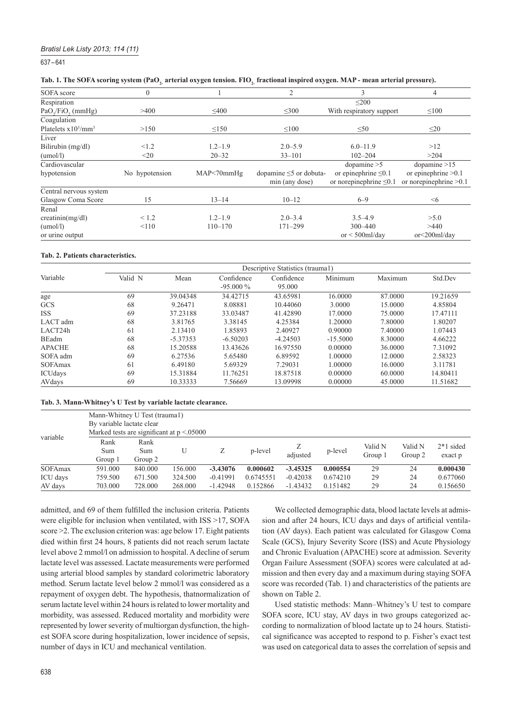## *Bratisl Lek Listy 2013; 114 (11)*

637 – 641

| Tab. 1. The SOFA scoring system (PaO <sub>2</sub> arterial oxygen tension. FIO <sub>2</sub> fractional inspired oxygen. MAP - mean arterial pressure). |  |  |  |
|--------------------------------------------------------------------------------------------------------------------------------------------------------|--|--|--|
|--------------------------------------------------------------------------------------------------------------------------------------------------------|--|--|--|

| SOFA score                   | $\mathbf{0}$    |             | $\overline{2}$                                 | 3                                                         | 4                                                 |
|------------------------------|-----------------|-------------|------------------------------------------------|-----------------------------------------------------------|---------------------------------------------------|
| Respiration                  |                 |             |                                                | < 200                                                     |                                                   |
| $PaO$ <sub>/FiO</sub> (mmHg) | >400            | $\leq 400$  | $\leq 300$                                     | With respiratory support                                  | $\leq 100$                                        |
| Coagulation                  |                 |             |                                                |                                                           |                                                   |
| Platelets $x10^3/mm^3$       | >150            | $\leq$ 150  | $\leq 100$                                     | $\leq 50$                                                 | $\leq$ 20                                         |
| Liver                        |                 |             |                                                |                                                           |                                                   |
| Bilirubin (mg/dl)            | <1.2            | $1.2 - 1.9$ | $2.0 - 5.9$                                    | $6.0 - 11.9$                                              | >12                                               |
| (umol/l)                     | $20$            | $20 - 32$   | $33 - 101$                                     | $102 - 204$                                               | >204                                              |
| Cardiovascular               |                 |             |                                                | dopamine $>5$                                             | dopamine $>15$                                    |
| hypotension                  | No hypotension  | MAP<70mmHg  | dopamine $\leq$ 5 or dobuta-<br>min (any dose) | or epinephrine $\leq 0.1$<br>or norepinephrine $\leq 0.1$ | or epinephrine $>0.1$<br>or norepinephrine $>0.1$ |
| Central nervous system       |                 |             |                                                |                                                           |                                                   |
| Glasgow Coma Score           | 15              | $13 - 14$   | $10 - 12$                                      | $6 - 9$                                                   | $\leq 6$                                          |
| Renal                        |                 |             |                                                |                                                           |                                                   |
| creatinin(mg/dl)             | ${}_{\leq 1.2}$ | $1.2 - 1.9$ | $2.0 - 3.4$                                    | $3.5 - 4.9$                                               | >5.0                                              |
| (umol/l)                     | < 110           | $110 - 170$ | $171 - 299$                                    | $300 - 440$                                               | >440                                              |
| or urine output              |                 |             |                                                | or $\leq 500$ ml/day                                      | or<200ml/day                                      |

#### **Tab. 2. Patients characteristics.**

|                | Descriptive Statistics (traumal) |            |                           |                      |            |         |          |  |  |  |  |
|----------------|----------------------------------|------------|---------------------------|----------------------|------------|---------|----------|--|--|--|--|
| Variable       | Valid N                          | Mean       | Confidence<br>$-95.000\%$ | Confidence<br>95,000 | Minimum    | Maximum | Std.Dev  |  |  |  |  |
| age            | 69                               | 39.04348   | 34.42715                  | 43.65981             | 16.0000    | 87.0000 | 19.21659 |  |  |  |  |
| GCS            | 68                               | 9.26471    | 8.08881                   | 10.44060             | 3.0000     | 15.0000 | 4.85804  |  |  |  |  |
| <b>ISS</b>     | 69                               | 37.23188   | 33.03487                  | 41.42890             | 17.0000    | 75.0000 | 17.47111 |  |  |  |  |
| LACT adm       | 68                               | 3.81765    | 3.38145                   | 4.25384              | 1.20000    | 7.80000 | 1.80207  |  |  |  |  |
| LACT24h        | 61                               | 2.13410    | 1.85893                   | 2.40927              | 0.90000    | 7.40000 | 1.07443  |  |  |  |  |
| BEadm          | 68                               | $-5.37353$ | $-6.50203$                | $-4.24503$           | $-15.5000$ | 8.30000 | 4.66222  |  |  |  |  |
| <b>APACHE</b>  | 68                               | 15.20588   | 13.43626                  | 16.97550             | 0.00000    | 36.0000 | 7.31092  |  |  |  |  |
| SOFA adm       | 69                               | 6.27536    | 5.65480                   | 6.89592              | 1.00000    | 12.0000 | 2.58323  |  |  |  |  |
| <b>SOFAmax</b> | 61                               | 6.49180    | 5.69329                   | 7.29031              | 1.00000    | 16.0000 | 3.11781  |  |  |  |  |
| ICUdays        | 69                               | 15.31884   | 11.76251                  | 18.87518             | 0.00000    | 60.0000 | 14.80411 |  |  |  |  |
| AVdays         | 69                               | 10.33333   | 7.56669                   | 13.09998             | 0.00000    | 45,0000 | 11.51682 |  |  |  |  |

## **Tab. 3. Mann-Whitney's U Test by variable lactate clearance.**

|          |                        | Mann-Whitney U Test (trauma1)<br>By variable lactate clear<br>Marked tests are significant at $p \le 0.05000$ |         |            |           |            |          |                    |                    |                        |  |  |
|----------|------------------------|---------------------------------------------------------------------------------------------------------------|---------|------------|-----------|------------|----------|--------------------|--------------------|------------------------|--|--|
| variable | Rank<br>Sum<br>Group 1 | Rank<br>Sum<br>Group 2                                                                                        |         | Ζ          | p-level   | adjusted   | p-level  | Valid N<br>Group 1 | Valid N<br>Group 2 | $2*1$ sided<br>exact p |  |  |
| SOFAmax  | 591.000                | 840,000                                                                                                       | 156.000 | $-3.43076$ | 0.000602  | $-3.45325$ | 0.000554 | 29                 | 24                 | 0.000430               |  |  |
| ICU days | 759.500                | 671.500                                                                                                       | 324.500 | $-0.41991$ | 0.6745551 | $-0.42038$ | 0.674210 | 29                 | 24                 | 0.677060               |  |  |
| AV days  | 703,000                | 728,000                                                                                                       | 268,000 | $-1.42948$ | 0.152866  | $-1.43432$ | 0.151482 | 29                 | 24                 | 0.156650               |  |  |

admitted, and 69 of them fulfilled the inclusion criteria. Patients were eligible for inclusion when ventilated, with ISS >17, SOFA score >2. The exclusion criterion was: age below 17. Eight patients died within first 24 hours, 8 patients did not reach serum lactate level above 2 mmol/l on admission to hospital. A decline of serum lactate level was assessed. Lactate measurements were performed using arterial blood samples by standard colorimetric laboratory method. Serum lactate level below 2 mmol/l was considered as a repayment of oxygen debt. The hypothesis, thatnormalization of serum lactate level within 24 hours is related to lower mortality and morbidity, was assessed. Reduced mortality and morbidity were represented by lower severity of multiorgan dysfunction, the highest SOFA score during hospitalization, lower incidence of sepsis, number of days in ICU and mechanical ventilation.

We collected demographic data, blood lactate levels at admission and after 24 hours, ICU days and days of artificial ventilation (AV days). Each patient was calculated for Glasgow Coma Scale (GCS), Injury Severity Score (ISS) and Acute Physiology and Chronic Evaluation (APACHE) score at admission. Severity Organ Failure Assessment (SOFA) scores were calculated at admission and then every day and a maximum during staying SOFA score was recorded (Tab. 1) and characteristics of the patients are shown on Table 2.

Used statistic methods: Mann–Whitney's U test to compare SOFA score, ICU stay, AV days in two groups categorized according to normalization of blood lactate up to 24 hours. Statistical significance was accepted to respond to p. Fisher's exact test was used on categorical data to asses the correlation of sepsis and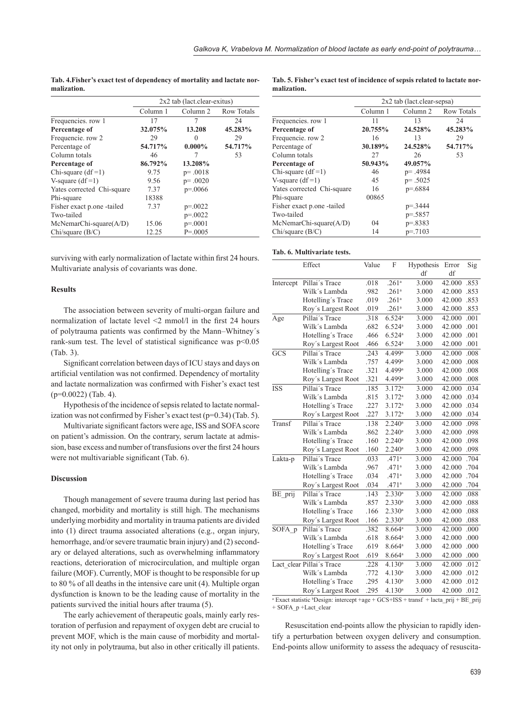|                            |          | $2x2$ tab (lact.clear-exitus) |                   |
|----------------------------|----------|-------------------------------|-------------------|
|                            | Column 1 | Column 2                      | <b>Row Totals</b> |
| Frequencies. row 1         | 17       | 7                             | 24                |
| Percentage of              | 32.075%  | 13.208                        | 45.283%           |
| Frequencie. row 2          | 29       | $\Omega$                      | 29                |
| Percentage of              | 54.717%  | $0.000\%$                     | 54.717%           |
| Column totals              | 46       | 7                             | 53                |
| Percentage of              | 86.792%  | 13.208%                       |                   |
| Chi-square $(df=1)$        | 9.75     | $p = .0018$                   |                   |
| V-square $(df=1)$          | 9.56     | $p = .0020$                   |                   |
| Yates corrected Chi-square | 7.37     | $p = 0.0066$                  |                   |
| Phi-square                 | 18388    |                               |                   |
| Fisher exact p.one -tailed | 7.37     | $p = 0.0022$                  |                   |
| Two-tailed                 |          | $p = 0.0022$                  |                   |
| $McNemarChi-square(A/D)$   | 15.06    | $p = 0001$                    |                   |
| Chi/square (B/C)           | 12.25    | $P = 0.0005$                  |                   |

**Tab. 4.Fisher's exact test of dependency of mortality and lactate normalization.**

surviving with early normalization of lactate within first 24 hours. Multivariate analysis of covariants was done.

## **Results**

The association between severity of multi-organ failure and normalization of lactate level  $\leq$ 2 mmol/l in the first 24 hours of polytrauma patients was confirmed by the Mann-Whitney's rank-sum test. The level of statistical significance was  $p<0.05$ (Tab. 3).

Significant correlation between days of ICU stays and days on artificial ventilation was not confirmed. Dependency of mortality and lactate normalization was confirmed with Fisher's exact test (p=0.0022) (Tab. 4).

Hypothesis of the incidence of sepsis related to lactate normalization was not confirmed by Fisher's exact test ( $p=0.34$ ) (Tab. 5).

Multivariate significant factors were age, ISS and SOFA score on patient's admission. On the contrary, serum lactate at admission, base excess and number of transfusions over the first 24 hours were not multivariable significant (Tab. 6).

## **Discussion**

Though management of severe trauma during last period has changed, morbidity and mortality is still high. The mechanisms underlying morbidity and mortality in trauma patients are divided into (1) direct trauma associated alterations (e.g., organ injury, hemorrhage, and/or severe traumatic brain injury) and (2) secondary or delayed alterations, such as overwhelming inflammatory reactions, deterioration of microcirculation, and multiple organ failure (MOF). Currently, MOF is thought to be responsible for up to 80 % of all deaths in the intensive care unit (4). Multiple organ dysfunction is known to be the leading cause of mortality in the patients survived the initial hours after trauma (5).

The early achievement of therapeutic goals, mainly early restoration of perfusion and repayment of oxygen debt are crucial to prevent MOF, which is the main cause of morbidity and mortality not only in polytrauma, but also in other critically ill patients.

|             |  |  |  |  |  | Tab. 5. Fisher's exact test of incidence of sepsis related to lactate nor- |  |
|-------------|--|--|--|--|--|----------------------------------------------------------------------------|--|
| malization. |  |  |  |  |  |                                                                            |  |

|                            |          | 2x2 tab (lact.clear-sepsa) |                   |
|----------------------------|----------|----------------------------|-------------------|
|                            | Column 1 | Column <sub>2</sub>        | <b>Row Totals</b> |
| Frequencies. row 1         | 11       | 13                         | 24                |
| Percentage of              | 20.755%  | 24.528%                    | 45.283%           |
| Frequencie. row 2          | 16       | 13                         | 29                |
| Percentage of              | 30.189%  | 24.528%                    | 54.717%           |
| Column totals              | 27       | 26                         | 53                |
| Percentage of              | 50.943%  | 49.057%                    |                   |
| Chi-square $(df=1)$        | 46       | $p = .4984$                |                   |
| V-square $(df=1)$          | 45       | $p = .5025$                |                   |
| Yates corrected Chi-square | 16       | $p = 6884$                 |                   |
| Phi-square                 | 00865    |                            |                   |
| Fisher exact p.one -tailed |          | $p = 3444$                 |                   |
| Two-tailed                 |          | $p = 5857$                 |                   |
| $McNemarChi-square(A/D)$   | 04       | $p = 8383$                 |                   |
| Chi/square (B/C)           | 14       | $p = 7103$                 |                   |

### **Tab. 6. Multivariate tests.**

|            | Effect                    | Value | F                    | Hypothesis | Error     | Sig  |
|------------|---------------------------|-------|----------------------|------------|-----------|------|
|            |                           |       |                      | df         | df        |      |
| Intercept  | Pillai's Trace            | .018  | .261 <sup>a</sup>    | 3.000      | 42.000    | .853 |
|            | Wilk's Lambda             | .982  | .261 <sup>a</sup>    | 3.000      | 42.000    | .853 |
|            | Hotelling's Trace         | .019  | .261a                | 3.000      | 42.000    | .853 |
|            | Roy's Largest Root        | .019  | .261 <sup>a</sup>    | 3.000      | 42.000    | .853 |
| Age        | Pillai's Trace            | .318  | 6.524a               | 3.000      | 42.000    | .001 |
|            | Wilk's Lambda             | .682  | 6.524a               | 3.000      | 42.000    | .001 |
|            | Hotelling's Trace         | .466  | 6.524a               | 3.000      | 42.000    | .001 |
|            | Roy's Largest Root        | .466  | 6.524a               | 3.000      | 42.000    | .001 |
| GCS        | Pillai's Trace            | .243  | 4.499 <sup>a</sup>   | 3.000      | 42.000    | .008 |
|            | Wilk's Lambda             | .757  | 4.499 <sup>a</sup>   | 3.000      | 42.000    | .008 |
|            | Hotelling's Trace         | .321  | 4.499 <sup>a</sup>   | 3.000      | 42.000    | .008 |
|            | Roy's Largest Root        | .321  | 4.499 <sup>a</sup>   | 3.000      | 42.000    | .008 |
| <b>ISS</b> | Pillai's Trace            | .185  | $3.172^{a}$          | 3.000      | 42.000    | .034 |
|            | Wilk's Lambda             | .815  | 3.172a               | 3.000      | 42.000    | .034 |
|            | Hotelling's Trace         | .227  | 3.172a               | 3.000      | 42.000    | .034 |
|            | Roy's Largest Root        | .227  | 3.172a               | 3.000      | 42.000    | .034 |
| Transf     | Pillai's Trace            | .138  | $2.240$ <sup>a</sup> | 3.000      | 42.000    | .098 |
|            | Wilk's Lambda             | .862  | $2.240$ <sup>a</sup> | 3.000      | 42.000    | .098 |
|            | Hotelling's Trace         | .160  | $2.240^a$            | 3.000      | 42.000    | .098 |
|            | Roy's Largest Root        | .160  | $2.240^{\circ}$      | 3.000      | 42.000    | .098 |
| Lakta-p    | Pillai's Trace            | .033  | .471 <sup>a</sup>    | 3.000      | 42.000    | .704 |
|            | Wilk's Lambda             | .967  | .471 <sup>a</sup>    | 3.000      | 42.000    | .704 |
|            | Hotelling's Trace         | .034  | .471 <sup>a</sup>    | 3.000      | 42.000    | .704 |
|            | Roy's Largest Root        | .034  | $.471$ <sup>a</sup>  | 3.000      | 42.000    | .704 |
| BE prij    | Pillai's Trace            | .143  | 2.330a               | 3.000      | 42.000    | .088 |
|            | Wilk's Lambda             | .857  | 2.330a               | 3.000      | 42.000    | .088 |
|            | Hotelling's Trace         | .166  | 2.330a               | 3.000      | 42.000    | .088 |
|            | Roy's Largest Root        | .166  | 2.330a               | 3.000      | 42.000    | .088 |
| SOFA p     | Pillai's Trace            | .382  | 8.664a               | 3.000      | 42.000    | .000 |
|            | Wilk's Lambda             | .618  | $8.664\mathrm{^a}$   | 3.000      | 42.000    | .000 |
|            | Hotelling's Trace         | .619  | $8.664$ <sup>a</sup> | 3.000      | 42.000    | .000 |
|            | Roy's Largest Root        | .619  | $8.664^{\circ}$      | 3.000      | 42.000    | .000 |
|            | Lact_clear Pillai's Trace | .228  | 4.130 <sup>a</sup>   | 3.000      | 42.000    | .012 |
|            | Wilk's Lambda             | .772  | 4.130 <sup>a</sup>   | 3.000      | 42.000    | .012 |
|            | Hotelling's Trace         | .295  | 4.130 <sup>a</sup>   | 3.000      | 42.000    | .012 |
|            | Roy's Largest Root        | .295  | 4.130 <sup>a</sup>   | 3.000      | 42.000    | .012 |
|            |                           |       |                      | $\sim$     | $\ddotsc$ |      |

<sup>a</sup> Exact statistic <sup>b</sup>Design: intercept +age + GCS+ISS + transf + lacta\_prij + BE\_prij + SOFA\_p +Lact\_clear

Resuscitation end-points allow the physician to rapidly identify a perturbation between oxygen delivery and consumption. End-points allow uniformity to assess the adequacy of resuscita-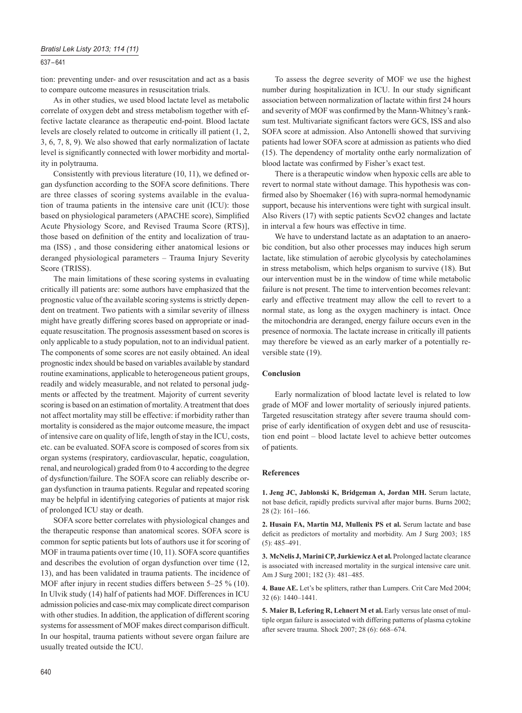## 637 – 641

tion: preventing under- and over resuscitation and act as a basis to compare outcome measures in resuscitation trials.

As in other studies, we used blood lactate level as metabolic correlate of oxygen debt and stress metabolism together with effective lactate clearance as therapeutic end-point. Blood lactate levels are closely related to outcome in critically ill patient (1, 2, 3, 6, 7, 8, 9). We also showed that early normalization of lactate level is significantly connected with lower morbidity and mortality in polytrauma.

Consistently with previous literature  $(10, 11)$ , we defined organ dysfunction according to the SOFA score definitions. There are three classes of scoring systems available in the evaluation of trauma patients in the intensive care unit (ICU): those based on physiological parameters (APACHE score), Simplified Acute Physiology Score, and Revised Trauma Score (RTS)], those based on definition of the entity and localization of trauma (ISS) , and those considering either anatomical lesions or deranged physiological parameters – Trauma Injury Severity Score (TRISS).

The main limitations of these scoring systems in evaluating critically ill patients are: some authors have emphasized that the prognostic value of the available scoring systems is strictly dependent on treatment. Two patients with a similar severity of illness might have greatly differing scores based on appropriate or inadequate resuscitation. The prognosis assessment based on scores is only applicable to a study population, not to an individual patient. The components of some scores are not easily obtained. An ideal prognostic index should be based on variables available by standard routine examinations, applicable to heterogeneous patient groups, readily and widely measurable, and not related to personal judgments or affected by the treatment. Majority of current severity scoring is based on an estimation of mortality. A treatment that does not affect mortality may still be effective: if morbidity rather than mortality is considered as the major outcome measure, the impact of intensive care on quality of life, length of stay in the ICU, costs, etc. can be evaluated. SOFA score is composed of scores from six organ systems (respiratory, cardiovascular, hepatic, coagulation, renal, and neurological) graded from 0 to 4 according to the degree of dysfunction/failure. The SOFA score can reliably describe organ dysfunction in trauma patients. Regular and repeated scoring may be helpful in identifying categories of patients at major risk of prolonged ICU stay or death.

SOFA score better correlates with physiological changes and the therapeutic response than anatomical scores. SOFA score is common for septic patients but lots of authors use it for scoring of MOF in trauma patients over time  $(10, 11)$ . SOFA score quantifies and describes the evolution of organ dysfunction over time (12, 13), and has been validated in trauma patients. The incidence of MOF after injury in recent studies differs between 5–25 % (10). In Ulvik study (14) half of patients had MOF. Differences in ICU admission policies and case-mix may complicate direct comparison with other studies. In addition, the application of different scoring systems for assessment of MOF makes direct comparison difficult. In our hospital, trauma patients without severe organ failure are usually treated outside the ICU.

To assess the degree severity of MOF we use the highest number during hospitalization in ICU. In our study significant association between normalization of lactate within first 24 hours and severity of MOF was confirmed by the Mann-Whitney's ranksum test. Multivariate significant factors were GCS, ISS and also SOFA score at admission. Also Antonelli showed that surviving patients had lower SOFA score at admission as patients who died (15). The dependency of mortality onthe early normalization of blood lactate was confirmed by Fisher's exact test.

There is a therapeutic window when hypoxic cells are able to revert to normal state without damage. This hypothesis was confirmed also by Shoemaker (16) with supra-normal hemodynamic support, because his interventions were tight with surgical insult. Also Rivers (17) with septic patients ScvO2 changes and lactate in interval a few hours was effective in time.

We have to understand lactate as an adaptation to an anaerobic condition, but also other processes may induces high serum lactate, like stimulation of aerobic glycolysis by catecholamines in stress metabolism, which helps organism to survive (18). But our intervention must be in the window of time while metabolic failure is not present. The time to intervention becomes relevant: early and effective treatment may allow the cell to revert to a normal state, as long as the oxygen machinery is intact. Once the mitochondria are deranged, energy failure occurs even in the presence of normoxia. The lactate increase in critically ill patients may therefore be viewed as an early marker of a potentially reversible state (19).

## **Conclusion**

Early normalization of blood lactate level is related to low grade of MOF and lower mortality of seriously injured patients. Targeted resuscitation strategy after severe trauma should comprise of early identification of oxygen debt and use of resuscitation end point – blood lactate level to achieve better outcomes of patients.

#### **References**

**1. Jeng JC, Jablonski K, Bridgeman A, Jordan MH.** Serum lactate, not base deficit, rapidly predicts survival after major burns. Burns 2002; 28 (2): 161–166.

**2. Husain FA, Martin MJ, Mullenix PS et al.** Serum lactate and base deficit as predictors of mortality and morbidity. Am J Surg 2003; 185 (5): 485–491.

**3. McNelis J, Marini CP, Jurkiewicz A et al.** Prolonged lactate clearance is associated with increased mortality in the surgical intensive care unit. Am J Surg 2001; 182 (3): 481–485.

**4. Baue AE.** Let's be splitters, rather than Lumpers. Crit Care Med 2004; 32 (6): 1440–1441.

**5. Maier B, Lefering R, Lehnert M et al.** Early versus late onset of multiple organ failure is associated with differing patterns of plasma cytokine after severe trauma. Shock 2007; 28 (6): 668–674.